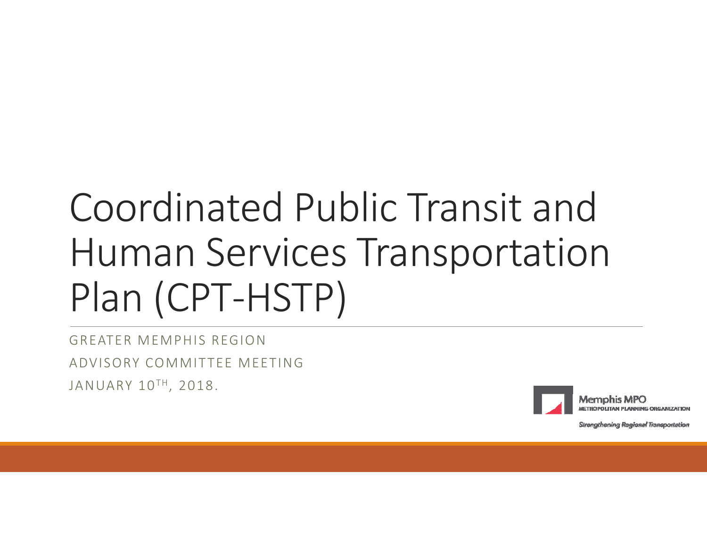# Coordinated Public Transit and Human Services Transportation Plan (CPT‐HSTP)

GREATER MEMPHIS REGIONADVISORY COMMITTEE MEETINGJANUARY 10TH, 2018.



Memphis MPO **TROPOLITAN PLANNING ORGANIZATION** 

Strangthening Regional Transportation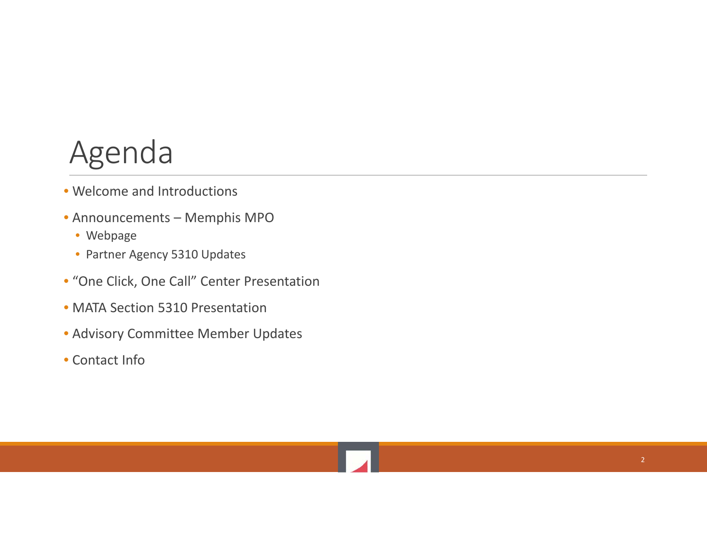#### Agenda

- Welcome and Introductions
- Announcements Memphis MPO
	- Webpage
	- Partner Agency 5310 Updates
- "One Click, One Call" Center Presentation
- MATA Section 5310 Presentation
- Advisory Committee Member Updates
- Contact Info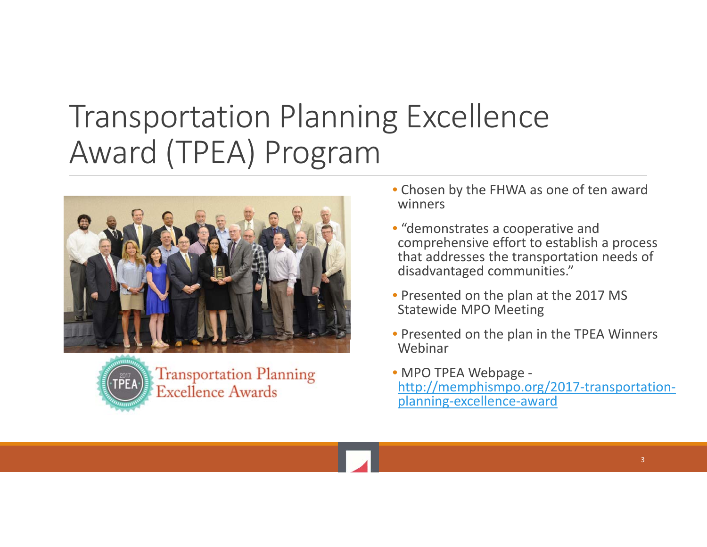## Transportation Planning Excellence Award (TPEA) Program





**Transportation Planning Excellence Awards** 

- Chosen by the FHWA as one of ten award winners
- "demonstrates a cooperative and comprehensive effort to establish <sup>a</sup> process that addresses the transportation needs of disadvantaged communities."
- Presented on the plan at the 2017 MS Statewide MPO Meeting
- Presented on the plan in the TPEA Winners Webinar
- MPO TPEA Webpage ‐ http://memphismpo.org/2017‐transportation‐ planning‐excellence‐award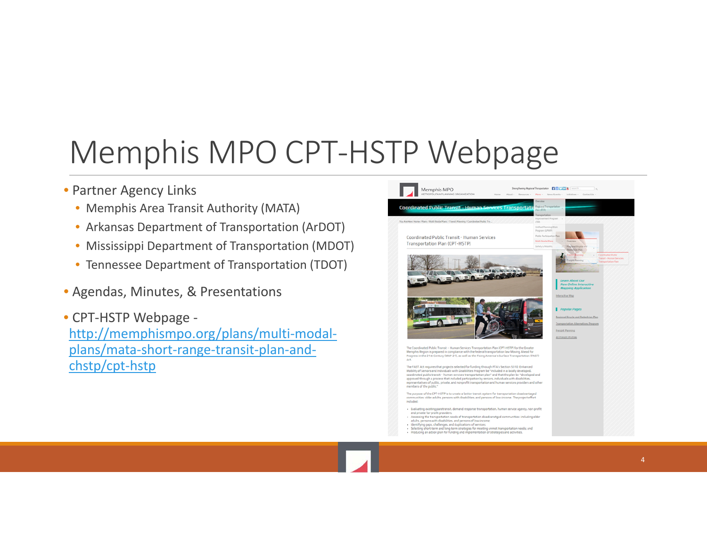## Memphis MPO CPT‐HSTP Webpage

#### • Partner Agency Links

- Memphis Area Transit Authority (MATA)
- Arkansas Department of Transportation (ArDOT)
- Mississippi Department of Transportation (MDOT)
- Tennessee Department of Transportation (TDOT)
- Agendas, Minutes, & Presentations
- CPT‐HSTP Webpage ‐ http://memphismpo.org/plans/multi‐modal‐ plans/mata‐short‐range‐transit‐plan‐and‐ chstp/cpt‐hstp

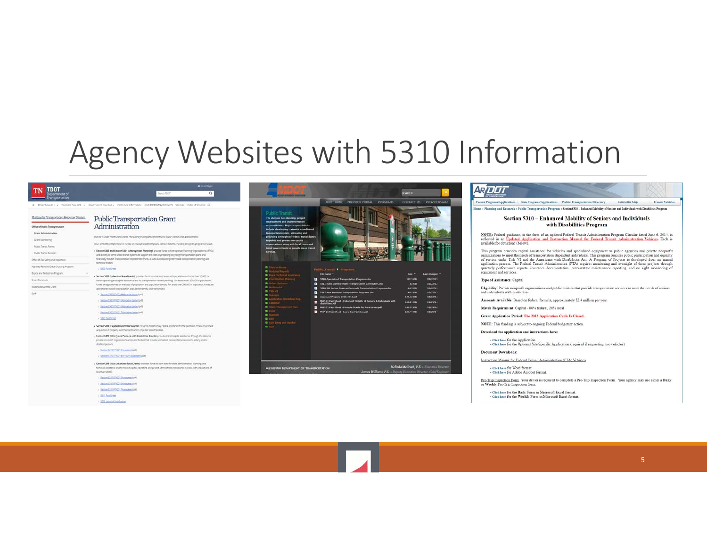#### Agency Websites with 5310 Information

| Multimodal Transportation Resources Division |                                                                                                                                                                                                                                                                         |  |
|----------------------------------------------|-------------------------------------------------------------------------------------------------------------------------------------------------------------------------------------------------------------------------------------------------------------------------|--|
| Office of Public Transportation              | Public Transportation Grant<br>Administration                                                                                                                                                                                                                           |  |
| Grant Administration                         |                                                                                                                                                                                                                                                                         |  |
| Grant Monitoring                             | This site is under construction. Please check back for complete information on Public Transit Cront Administration.                                                                                                                                                     |  |
| Public Transit Forms                         | TDOT oversees the provision of funds for multiple statewide public transit initiatives. Funding and grant programs include:                                                                                                                                             |  |
| <b>Public Transit Services</b>               | - Section 5303 and Section 5304 (Metropolitan Planning) provide funds to Metropolitan Planning Organizations (MPOs)<br>and directly to some urban transit systems to support the costs of preparing long range transportation plans and                                 |  |
| Office of Rail Safety and Impection          | financially feasible Transportation Improvement Plans, as well as conducting intermodal transportation planning and<br>technical studies.                                                                                                                               |  |
| Highway Railroad Grade Crossing Program      | $+3355$ Pach Sheet                                                                                                                                                                                                                                                      |  |
| Boyde and Pedestrian Program                 |                                                                                                                                                                                                                                                                         |  |
| Smart Commute                                | - Section 5307 (Urbenized Area Grants): privides funds to urbanized areas with populations of more than 50,000 for<br>transit operating and capital assistance and for transportation intered planning. For areas under 200.000 in population,                          |  |
| Multimodal Access Grant                      | funds are apportioned on the basis of population and population dempty For areas over 200,000 in population. funds are<br>apportioned based on population, population density, and trainst data.                                                                        |  |
|                                              | . Section 5307 FPQ014 Allocation Letter (pdf)                                                                                                                                                                                                                           |  |
|                                              | + Serbon \$307 FF/2015 Allocation Letter (pdf)                                                                                                                                                                                                                          |  |
|                                              | + Section 5307 RF(2016 Alteration Letter (pdf)                                                                                                                                                                                                                          |  |
|                                              | + Section 5307 (PIQ017 Abboston Letter (pdf)                                                                                                                                                                                                                            |  |
|                                              | $+502$ Fact Sheet                                                                                                                                                                                                                                                       |  |
|                                              | . Section \$309 (Capital Investment Grants) provides discretionary capital assistance for the purchase of new equipment,<br>acquestion of property, and the construction of public transit facilities.                                                                  |  |
|                                              | . Section S310 (Elderly and Persons with Disabilities Grants) provides transit capital assistance. In rough the state. to<br>private non-profit organizations and public bodies that provide specialized transportation services to elderly and/or<br>disabled persons. |  |
|                                              | - Section 5310 RF/2013 Avenuers (pdf)                                                                                                                                                                                                                                   |  |
|                                              | + Section 5310 FFIC014-FFIC015 Awardees (pdf)                                                                                                                                                                                                                           |  |
|                                              | . Section S311 (Non-Urbanized Area Grants): provides funds to each state for state administration, planning, and<br>technical assistance and for transit capital, operating, and project administration assistance in areas with populations of<br>less than 50,000.    |  |
|                                              | + Sedium 5311 AP/2015 Aver 3rds (pdf)                                                                                                                                                                                                                                   |  |
|                                              | $+$ Section 5311 FF12015 Avenues (pdf)                                                                                                                                                                                                                                  |  |
|                                              | + Section 5311 RF(2017 Available) (pdf)                                                                                                                                                                                                                                 |  |
|                                              | $+ 5311$ Fact Sheet                                                                                                                                                                                                                                                     |  |
|                                              | + 5311 Letter of Tablication                                                                                                                                                                                                                                            |  |



#### ARDOT

Trunsit Vehicles .<br>Home » Planning and Research » Public Transportation Program » Section 5310 - Enhanced Mobility of Seniors and Individuals with Disabilities Program

#### Section 5310 - Enhanced Mobility of Seniors and Individuals with Disabilities Program

**NOTE:** Federal guidance, in the form of an updated Federal Transit Administration Program Circular dated June 6, 2014, is<br>reflected in an **Updated Anglication and Instruction Manual for Federal Transit Administration Vehi** 

This program provides capital assistance for vehicles and specialized equipment to public agencies and private nonprofit or production depending the state of transportations to meet the needs of transportation for depositi or service unors range vi anto tue sentenciam von Consolino s secos arrestores are projector a processore and annual service application process. The Federal Transit Administration (FTA) requires monitoring and oversight o

#### Type of Assistance: Capital

Eligibility: Private nonprofit organizations and public entities that provide transportation services to meet the needs of seniors<br>and individuals with disabilities.

Amounts Available: Based on federal formula, approximately \$2.4 million per year

Match Requirement: Capital - 80% federal, 20% local

Grant Application Period: The 2018 Application Cycle Is Closed.

NOTE: This funding is subject to ongoing Federal budgetary action.

Download the application and instructions here:

· Click here for the Application . Click here for the Optional Site Specific Application (required if requesting two vehicles)

#### Document Downloads

Instruction Manual for Federal Transit Administration (FTA) Vehicles.

+ Click here for Word forms: . Click here for Adobe Acrobat format

**College** 

Pre-Trip Inspection Form. Your driver is required to complete a Pre-Trip Inspection Form. Your agency may use either a Daily or Weekly Pre-Trip Inspection form.

. Click here for the Daily Form in Microsoft Excel format - Click here for the Weekly Form in Microsoft Excel format.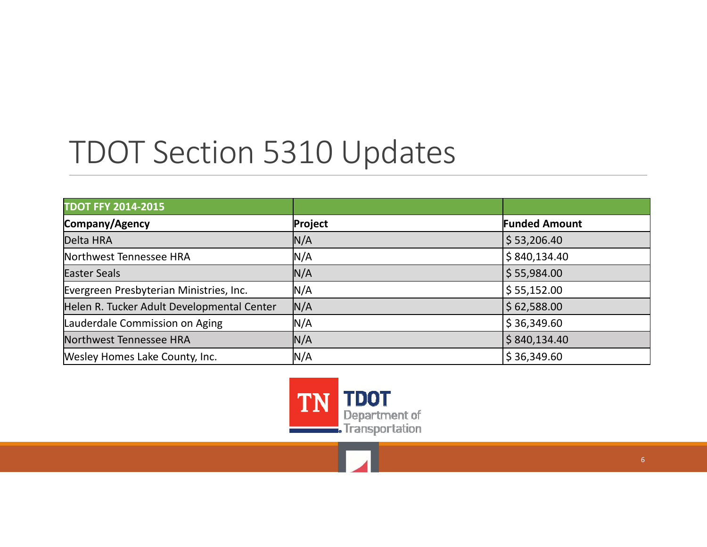## TDOT Section 5310 Updates

| <b>TDOT FFY 2014-2015</b>                  |         |                      |
|--------------------------------------------|---------|----------------------|
| Company/Agency                             | Project | <b>Funded Amount</b> |
| Delta HRA                                  | N/A     | \$53,206.40          |
| Northwest Tennessee HRA                    | N/A     | \$840,134.40         |
| <b>Easter Seals</b>                        | N/A     | 55,984.00            |
| Evergreen Presbyterian Ministries, Inc.    | N/A     | \$55,152.00          |
| Helen R. Tucker Adult Developmental Center | N/A     | \$62,588.00          |
| Lauderdale Commission on Aging             | N/A     | \$36,349.60          |
| Northwest Tennessee HRA                    | N/A     | \$840,134.40         |
| Wesley Homes Lake County, Inc.             | N/A     | \$36,349.60          |

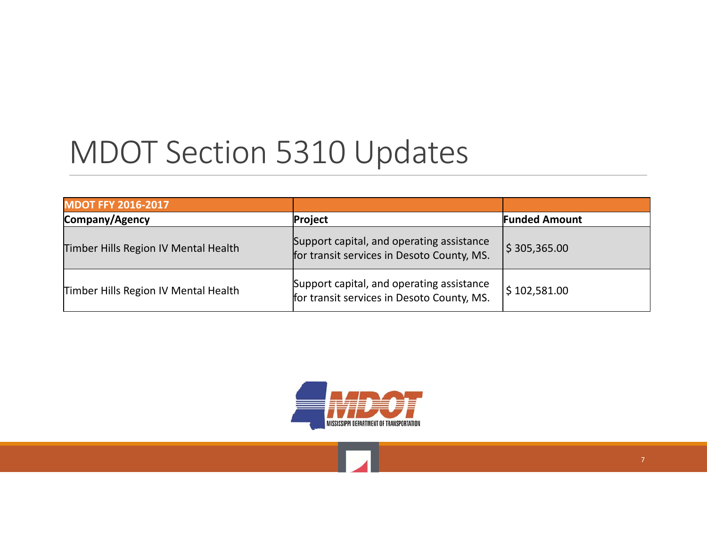## MDOT Section 5310 Updates

| <b>MDOT FFY 2016-2017</b>            |                                                                                         |                          |
|--------------------------------------|-----------------------------------------------------------------------------------------|--------------------------|
| Company/Agency                       | Project                                                                                 | <b>Funded Amount</b>     |
| Timber Hills Region IV Mental Health | Support capital, and operating assistance<br>for transit services in Desoto County, MS. | $\frac{1}{2}$ 305,365.00 |
| Timber Hills Region IV Mental Health | Support capital, and operating assistance<br>for transit services in Desoto County, MS. | \$102,581.00             |

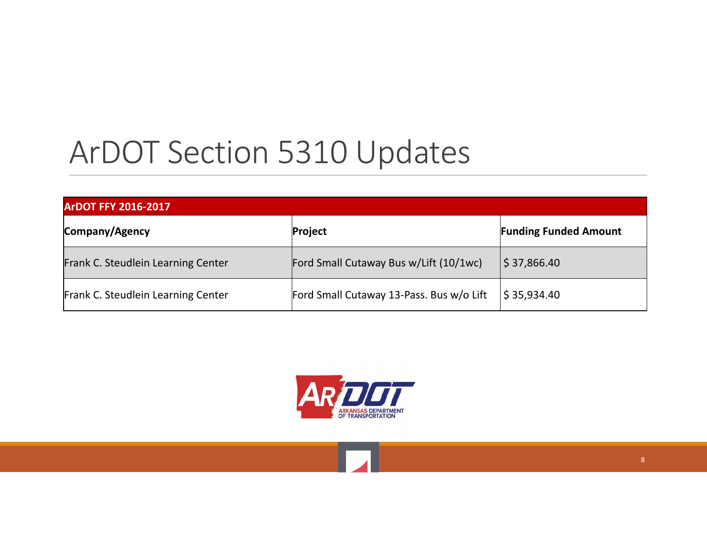## ArDOT Section 5310 Updates

| <b>ArDOT FFY 2016-2017</b>         |                                          |                              |  |  |
|------------------------------------|------------------------------------------|------------------------------|--|--|
| Company/Agency                     | Project                                  | <b>Funding Funded Amount</b> |  |  |
| Frank C. Steudlein Learning Center | Ford Small Cutaway Bus w/Lift (10/1wc)   | $ \$ 37,866.40$              |  |  |
| Frank C. Steudlein Learning Center | Ford Small Cutaway 13-Pass. Bus w/o Lift | \$35,934.40                  |  |  |



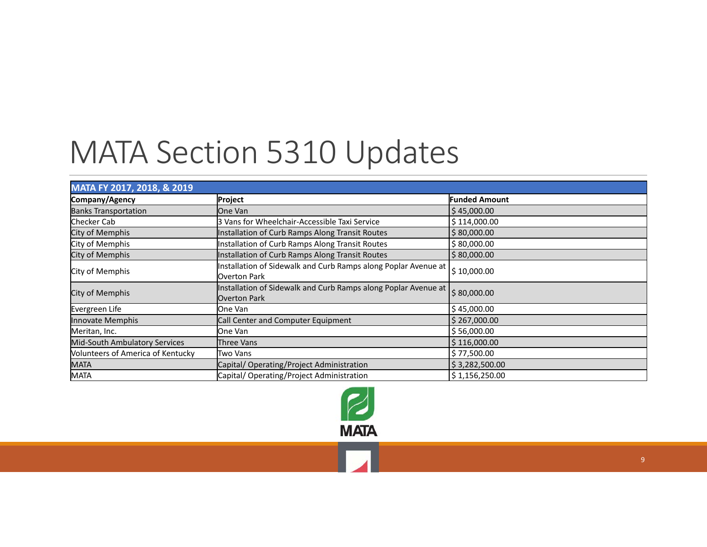## MATA Section 5310 Updates

| MATA FY 2017, 2018, & 2019        |                                                                                |                         |  |  |
|-----------------------------------|--------------------------------------------------------------------------------|-------------------------|--|--|
| Company/Agency                    | Project                                                                        | <b>Funded Amount</b>    |  |  |
| <b>Banks Transportation</b>       | <b>lOne Van</b>                                                                | \$45,000.00             |  |  |
| Checker Cab                       | l3 Vans for Wheelchair-Accessible Taxi Service                                 | \$114,000.00            |  |  |
| City of Memphis                   | Installation of Curb Ramps Along Transit Routes                                | \$80,000.00             |  |  |
| City of Memphis                   | Installation of Curb Ramps Along Transit Routes                                | \$80,000.00             |  |  |
| City of Memphis                   | Installation of Curb Ramps Along Transit Routes                                | \$80,000.00             |  |  |
| City of Memphis                   | Installation of Sidewalk and Curb Ramps along Poplar Avenue at<br>Overton Park | $\frac{1}{2}$ 10,000.00 |  |  |
| City of Memphis                   | Installation of Sidewalk and Curb Ramps along Poplar Avenue at<br>Overton Park | \$80,000.00             |  |  |
| Evergreen Life                    | One Van                                                                        | \$45,000.00             |  |  |
| Innovate Memphis                  | Call Center and Computer Equipment                                             | \$267,000.00            |  |  |
| Meritan, Inc.                     | One Van                                                                        | \$56,000.00             |  |  |
| Mid-South Ambulatory Services     | Three Vans                                                                     | \$116,000.00            |  |  |
| Volunteers of America of Kentucky | Two Vans                                                                       | \$77,500.00             |  |  |
| <b>MATA</b>                       | Capital/Operating/Project Administration                                       | \$3,282,500.00          |  |  |
| <b>MATA</b>                       | Capital/Operating/Project Administration                                       | \$1,156,250.00          |  |  |

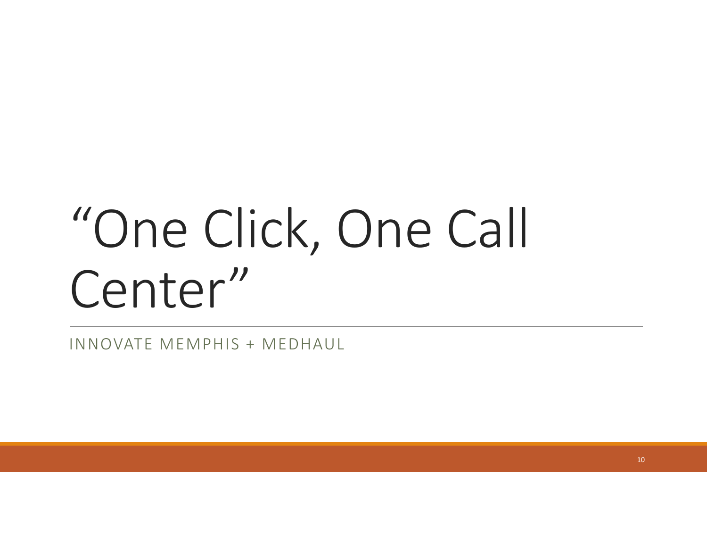# "One Click, One Call Center"

INNOVATE MEMPHIS <sup>+</sup> MEDHAUL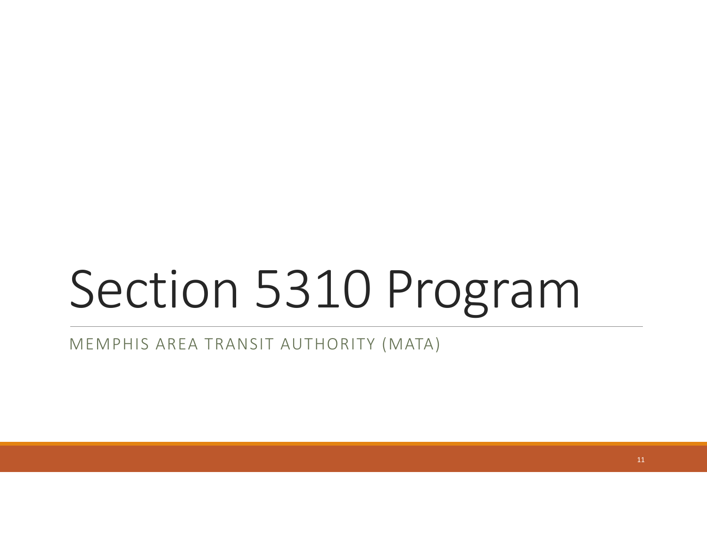# Section 5310 Program

MEMPHIS AREA TRANSIT AUTHORITY (MATA)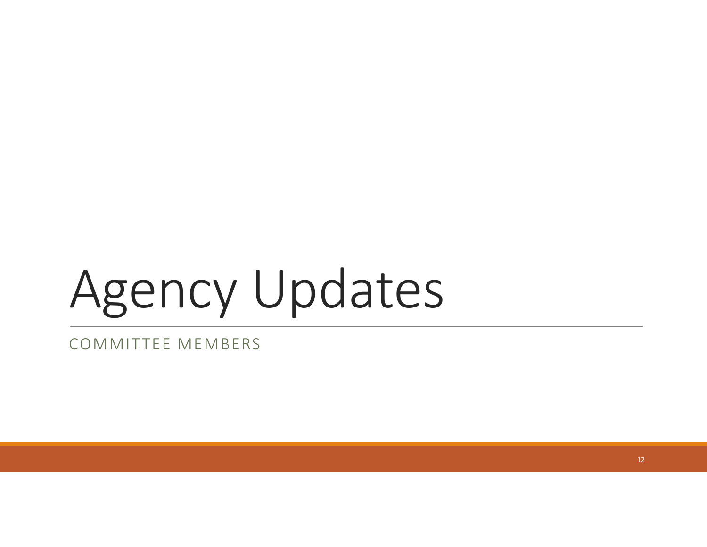# Agency Updates

#### COMMITTEE MEMBERS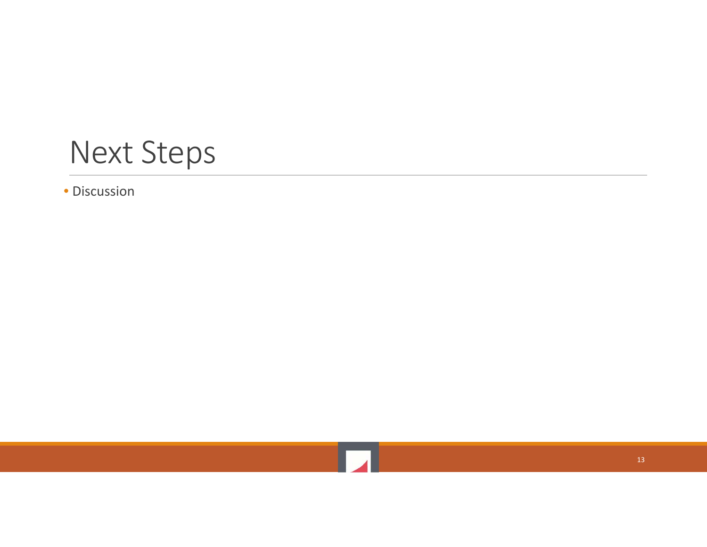#### Next Steps

• Discussion

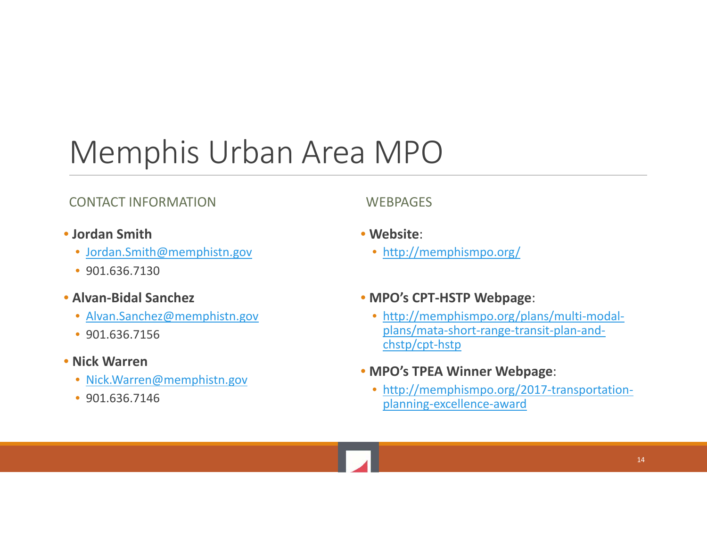## Memphis Urban Area MPO

#### CONTACT INFORMATION WEBPAGES

- **Jordan Smith**
	- Jordan.Smith@memphistn.gov
	- 901.636.7130
- **Alvan‐Bidal Sanchez**
	- Alvan.Sanchez@memphistn.gov
	- 901.636.7156
- **Nick Warren**
	- Nick.Warren@memphistn.gov
	- 901.636.7146

- **Website**:
	- http://memphismpo.org/
- **MPO's CPT‐HSTP Webpage**:
	- http://memphismpo.org/plans/multi-modalplans/mata‐short‐range‐transit‐plan‐and‐ chstp/cpt‐hstp
- **MPO's TPEA Winner Webpage**:
	- http://memphismpo.org/2017-transportationplanning‐excellence‐award